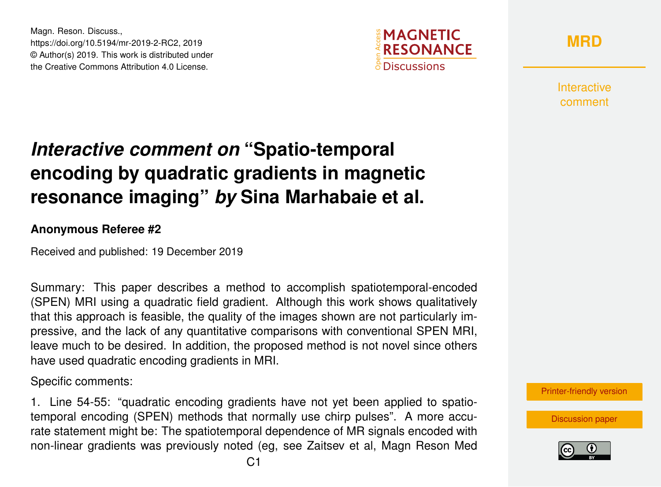Magn. Reson. Discuss., https://doi.org/10.5194/mr-2019-2-RC2, 2019 © Author(s) 2019. This work is distributed under the Creative Commons Attribution 4.0 License.



**[MRD](https://www.magn-reson-discuss.net/)**

Interactive comment

## *Interactive comment on* **"Spatio-temporal encoding by quadratic gradients in magnetic resonance imaging"** *by* **Sina Marhabaie et al.**

## **Anonymous Referee #2**

Received and published: 19 December 2019

Summary: This paper describes a method to accomplish spatiotemporal-encoded (SPEN) MRI using a quadratic field gradient. Although this work shows qualitatively that this approach is feasible, the quality of the images shown are not particularly impressive, and the lack of any quantitative comparisons with conventional SPEN MRI, leave much to be desired. In addition, the proposed method is not novel since others have used quadratic encoding gradients in MRI.

Specific comments:

1. Line 54-55: "quadratic encoding gradients have not yet been applied to spatiotemporal encoding (SPEN) methods that normally use chirp pulses". A more accurate statement might be: The spatiotemporal dependence of MR signals encoded with non-linear gradients was previously noted (eg, see Zaitsev et al, Magn Reson Med

[Printer-friendly version](https://www.magn-reson-discuss.net/mr-2019-2/mr-2019-2-RC2-print.pdf)

[Discussion paper](https://www.magn-reson-discuss.net/mr-2019-2)